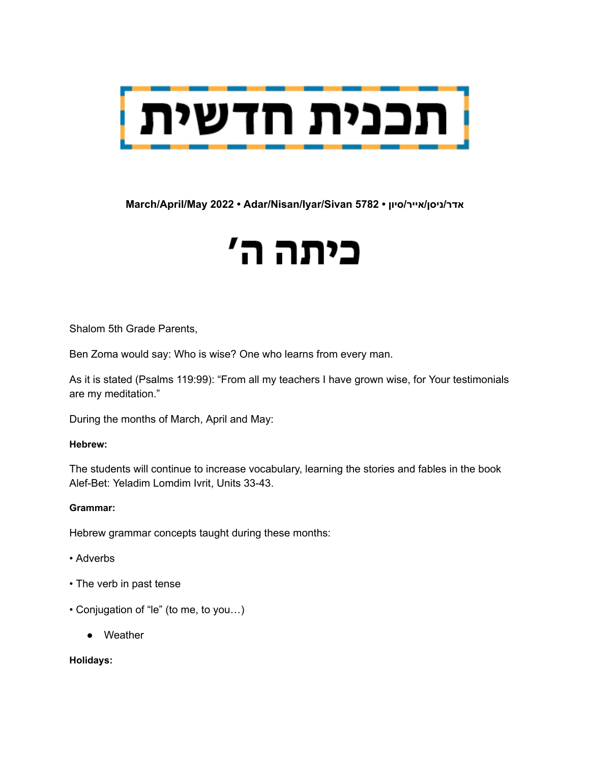

**March/April/May 2022 • Adar/Nisan/Iyar/Sivan 5782 • סיון/אייר/ניסן/אדר**

# כיתה ה'

Shalom 5th Grade Parents,

Ben Zoma would say: Who is wise? One who learns from every man.

As it is stated (Psalms 119:99): "From all my teachers I have grown wise, for Your testimonials are my meditation."

During the months of March, April and May:

#### **Hebrew:**

The students will continue to increase vocabulary, learning the stories and fables in the book Alef-Bet: Yeladim Lomdim Ivrit, Units 33-43.

#### **Grammar:**

Hebrew grammar concepts taught during these months:

- Adverbs
- The verb in past tense
- Conjugation of "le" (to me, to you…)
	- Weather

**Holidays:**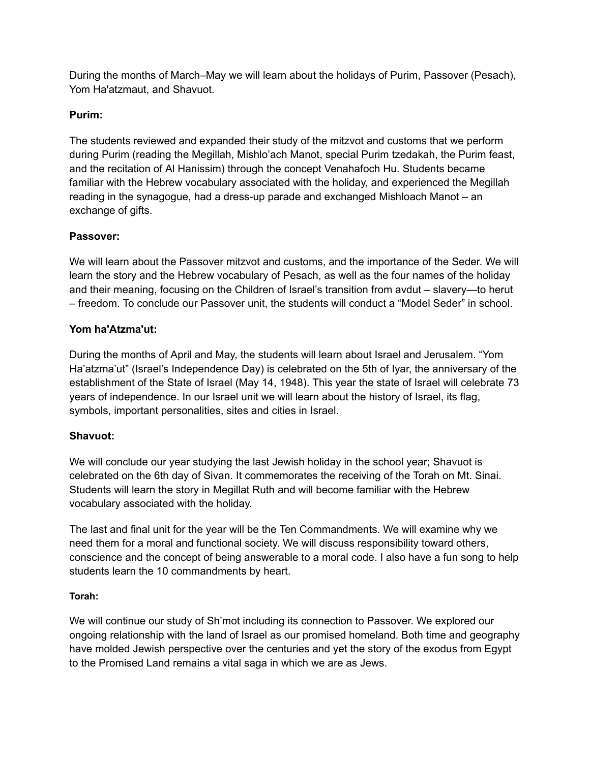During the months of March–May we will learn about the holidays of Purim, Passover (Pesach), Yom Ha'atzmaut, and Shavuot.

## **Purim:**

The students reviewed and expanded their study of the mitzvot and customs that we perform during Purim (reading the Megillah, Mishlo'ach Manot, special Purim tzedakah, the Purim feast, and the recitation of Al Hanissim) through the concept Venahafoch Hu. Students became familiar with the Hebrew vocabulary associated with the holiday, and experienced the Megillah reading in the synagogue, had a dress-up parade and exchanged Mishloach Manot – an exchange of gifts.

### **Passover:**

We will learn about the Passover mitzvot and customs, and the importance of the Seder. We will learn the story and the Hebrew vocabulary of Pesach, as well as the four names of the holiday and their meaning, focusing on the Children of Israel's transition from avdut – slavery—to herut – freedom. To conclude our Passover unit, the students will conduct a "Model Seder" in school.

### **Yom ha'Atzma'ut:**

During the months of April and May, the students will learn about Israel and Jerusalem. "Yom Ha'atzma'ut" (Israel's Independence Day) is celebrated on the 5th of Iyar, the anniversary of the establishment of the State of Israel (May 14, 1948). This year the state of Israel will celebrate 73 years of independence. In our Israel unit we will learn about the history of Israel, its flag, symbols, important personalities, sites and cities in Israel.

#### **Shavuot:**

We will conclude our year studying the last Jewish holiday in the school year; Shavuot is celebrated on the 6th day of Sivan. It commemorates the receiving of the Torah on Mt. Sinai. Students will learn the story in Megillat Ruth and will become familiar with the Hebrew vocabulary associated with the holiday.

The last and final unit for the year will be the Ten Commandments. We will examine why we need them for a moral and functional society. We will discuss responsibility toward others, conscience and the concept of being answerable to a moral code. I also have a fun song to help students learn the 10 commandments by heart.

#### **Torah:**

We will continue our study of Sh'mot including its connection to Passover. We explored our ongoing relationship with the land of Israel as our promised homeland. Both time and geography have molded Jewish perspective over the centuries and yet the story of the exodus from Egypt to the Promised Land remains a vital saga in which we are as Jews.